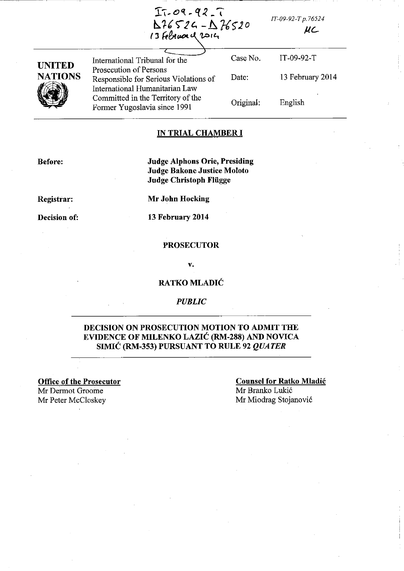------------------------~-, -- --. -  $I7 - 09 - 92 - 7$  $126524 - 1276520$ 13 February 2014

*IT-09-92-T p. 76524* 

 $\mu$  $c$ 



International Tribunal for the Prosecution of Persons Responsible for Serious Violations of International Humanitarian Law Committed in the Territory of the Former Yugoslavia since 1991

Case No. IT-09-92-T Date: 13 February 2014 Original: English

## IN TRIAL CHAMBER I

Before:

Judge Alphons Orie, Presiding Judge Bakone Justice Moloto Judge Christoph Fliigge

Registrar:

Decision of:

Mr John Hocking

13 February 2014

## **PROSECUTOR**

v.

# RATKO MLADIĆ

## *PUBLIC*

# DECISION ON PROSECUTION MOTION TO ADMIT THE EVIDENCE OF MILENKO LAZIC (RM-288) AND NOVICA SIMIC (RM-353) PURSUANT TO RULE 92 *QUATER*

Office of the Prosecutor Mr Dermot Groome Mr Peter McCloskey Mr Miodrag Stojanović

## Counsel for Ratko Mladic Mr Branko Lukic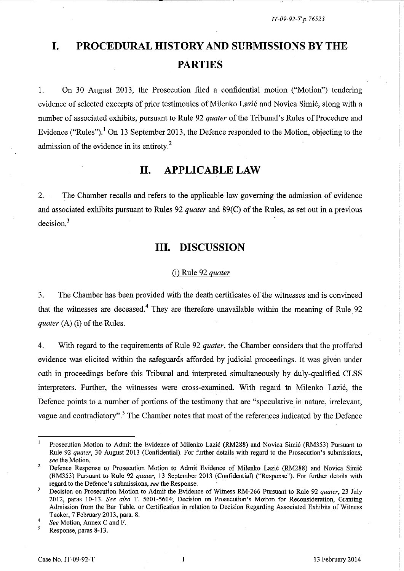# **I. PROCEDURAL HISTORY AND SUBMISSIONS BY THE PARTIES**

1. On 30 August 2013, the Prosecution filed a confidential motion ("Motion") tendering evidence of selected excerpts of prior testimonies of Milenko Lazić and Novica Simić, along with a number of associated exhibits, pursuant to Rule 92 *quater* of the Tribunal's Rules of Procedure and Evidence ("Rules").<sup>1</sup> On 13 September 2013, the Defence responded to the Motion, objecting to the admission of the evidence in its entirety.<sup>2</sup>

# **II. APPLICABLE LAW**

2. The Chamber recalls and refers to the applicable law governing the admission of evidence and associated exhibits pursuant to Rules 92 *quater* and 89(C) of the Rules, as set out in a previous decision.<sup>3</sup>

# **III. DISCUSSION**

# (i) Rule 92 *quater*

3. The Chamber has been provided with the death certificates of the witnesses and is convinced that the witnesses are deceased.<sup>4</sup> They are therefore unavailable within the meaning of Rule  $92$ *quater* (A) (i) of the Rules.

4. With regard to the requirements of Rule 92 *quater,* the Chamber considers that the proffered evidence was elicited within the safeguards afforded by judicial proceedings. It was given under oath in proceedings before this Tribunal and interpreted simultaneously by duly-qualified CLSS interpreters. Further, the witnesses were cross-examined. With regard to Milenko Lazić, the Defence points to a number of portions of the testimony that are "speculative in nature, irrelevant, vague and contradictory".<sup>5</sup> The Chamber notes that most of the references indicated by the Defence

5 Response, paras 8-13.

 $\mathbf{1}$ Prosecution Motion to Admit the Evidence of Milenko Lazić (RM288) and Novica Simić (RM353) Pursuant to Rule 92 *quater,* 30 August 2013 (Confidential). For further details with regard to the Prosecution's submissions, *see* the Motion.

<sup>2</sup>  Defence Response to Prosecution Motion to Admit Evidence of Milenko Lazić (RM288) and Novica Simić (RM353) Pursuant to Rule 92 *quater,* 13 September 2013 (Confidential) ("Response"). For further details with **regard to the Defence's submissions,** *see* **the Response.** 

 $\overline{\mathbf{3}}$ Decision on Prosecution Motion to Admit the Evidence of Witness RM-266 Pursuant to Rule 92 *quater,* 23 July 2012, paras 10-13. *See also* T. 5601-5604; Decision on Prosecution's Motion for Reconsideration, Granting Admission from the Bar Table, or Certification in relation to Decision Regarding Associated Exhibits of Witness Tucker, 7 February 2013, para. 8.

<sup>4</sup>  *See* Motion, Annex C and F.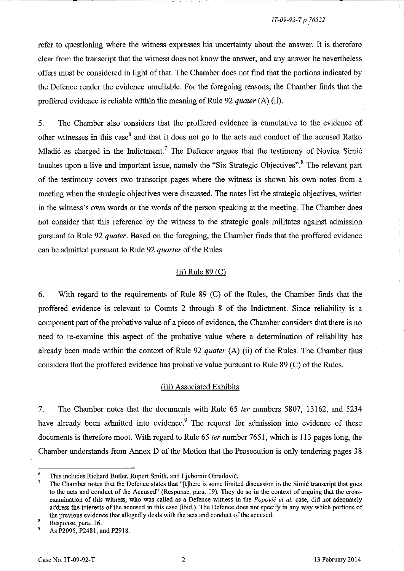## *IT-09-92-T p.76522*

refer to questioning where the witness expresses his uncertainty about the answer. It is therefore clear from the transcript that the witness does not know the answer, and any answer he nevertheless offers must be considered in light of that. The Chamber does not find that the portions indicated by the Defence render the evidence unreliable. For the foregoing reasons, the Chamber finds that the proffered evidence is reliable within the meaning of Rule 92 *quater* (A) (ii).

5. The Chamber also considers that the proffered evidence is cumulative to the evidence of other witnesses in this case<sup>6</sup> and that it does not go to the acts and conduct of the accused Ratko Mladić as charged in the Indictment.<sup>7</sup> The Defence argues that the testimony of Novica Simić touches upon a live and important issue, namely the "Six Strategic Objectives".<sup>8</sup> The relevant part of the testimony covers two transcript pages where the witness is shown his own notes from a meeting when the strategic objectives were discussed. The notes list the strategic objectives, written in the witness's own words or the words of the person speaking at the meeting. The Chamber does not consider that this reference by the witness to the strategic goals militates against admission pursuant to Rule 92 *quater.* Based on the foregoing, the Chamber finds that the proffered evidence can be admitted pursuant to Rule 92 *quarter* of the Rules.

## (ii) Rule 89 (C)

6. With regard to the requirements of Rule 89 (C) of the Rules, the Chamber finds that the proffered evidence is relevant to Counts 2 through 8 of the Indictment. Since reliability is a component part of the probative value of a piece of evidence, the Chamber considers that there is no need to re-examine this aspect of the probative value where a determination of reliability has already been made within the context of Rule 92 *quater* (A) (ii) of the Rules. The Chamber thus considers that the proffered evidence has probative value pursuant to Rule 89 (C) of the Rules.

#### (iii) Associated Exhibits

7. The Chamber notes that the documents with Rule 65 *ter* numbers 5807, 13162, and 5234 have already been admitted into evidence.<sup>9</sup> The request for admission into evidence of these documents is therefore moot. With regard to Rule 65 *ter* number 7651, which is 113 pages long, the Chamber understands from Annex D of the Motion that the Prosecution is only tendering pages 38

<sup>6</sup>  This includes Richard Butler, Rupert Smith, and Ljubomir Obradović.

<sup>7</sup>  The Chamber notes that the Defence states that "[t]here is some limited discussion in the Simic transcript that goes to the acts and conduct of the Accused" (Response, para. 19). They do so in the context of arguing that the crossexamination of this witness, who was called as a Defence witness in the *Popovic et al.* case, did not adequately address the interests of the accused in this case (ibid.). The Defence does not specify in any way which portions of the previous evidence that allegedly deals with the acts and conduct of the accused.

<sup>8</sup> Response, para. 16.

<sup>9</sup>  As P2095, P2481, and P2918.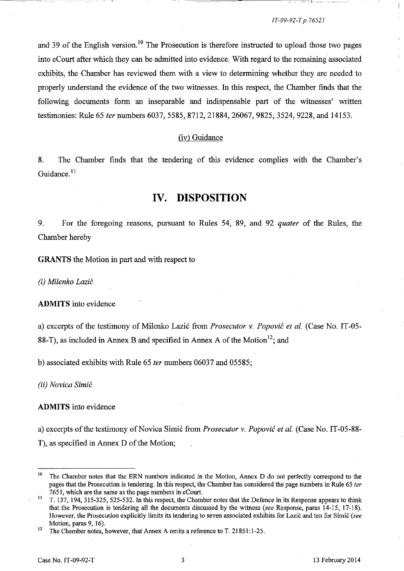is a construction of the following construction of the construction of the construction of the construction of

and 39 of the English version.<sup>10</sup> The Prosecution is therefore instructed to upload those two pages into eCourt after which they can be admitted into evidence. With regard to the remaining associated exhibits, the Chamber has reviewed them with a view to determining whether they are needed to properly understand the evidence of the two witnesses. In this respect, the Chamber finds that the following documents form an inseparable and indispensable part of the witnesses' written testimonies: Rule 65 *ter* numbers 6037, 5585, 8712, 21884, 26067, 9825, 3524, 9228, and 14153.

#### (iv) Guidance

8. The Chamber finds that the tendering of this evidence complies with the Chamber's Guidance.<sup>11</sup>

# **IV. DISPOSITION**

9. For the foregoing reasons, pursuant to Rules 54, 89, and 92 *quater* of the Rules, the Chamber hereby

GRANTS the Motion in part and with respect to

*(i) Milenko Lazic* 

**ADMITS** into evidence

a) excerpts of the testimony of Milenko Lazi6 from *Prosecutor* v. *Popovic et al.* (Case No. IT -05- 88-T), as included in Annex B and specified in Annex A of the Motion<sup>12</sup>; and

b) associated exhibits with Rule 65 *ter* numbers 06037 and 05585;

*(ii) Novica Simic* 

## **ADMITS** into evidence

a) excerpts of the testimony of Novica Simi6 from *Prosecutor* v. *Popovic et al.* (Case No. IT-05-88- T), as specified in Annex D of the Motion;

<sup>&</sup>lt;sup>10</sup> The Chamber notes that the ERN numbers indicated in the Motion, Annex D do not perfectly correspond to the pages that the Prosecution is tendering. In this respect, the Chamber has considered the page numbers in Rule 65 *ter*  7651, which are the same as the page numbers in eCourt.

 $11$  T. 137, 194, 315-325, 525-532. In this respect, the Chamber notes that the Defence in its Response appears to think that the Prosecution is tendering all the documents discussed by the witness *(see* Response, paras 14-15, 17-18). However, the Prosecution explicitly limits its tendering to seven associated exhibits for Lazić and ten for Simić (see Motion, paras 9, 16).

<sup>&</sup>lt;sup>12</sup> The Chamber notes, however, that Annex A omits a reference to T. 21851:1-25.